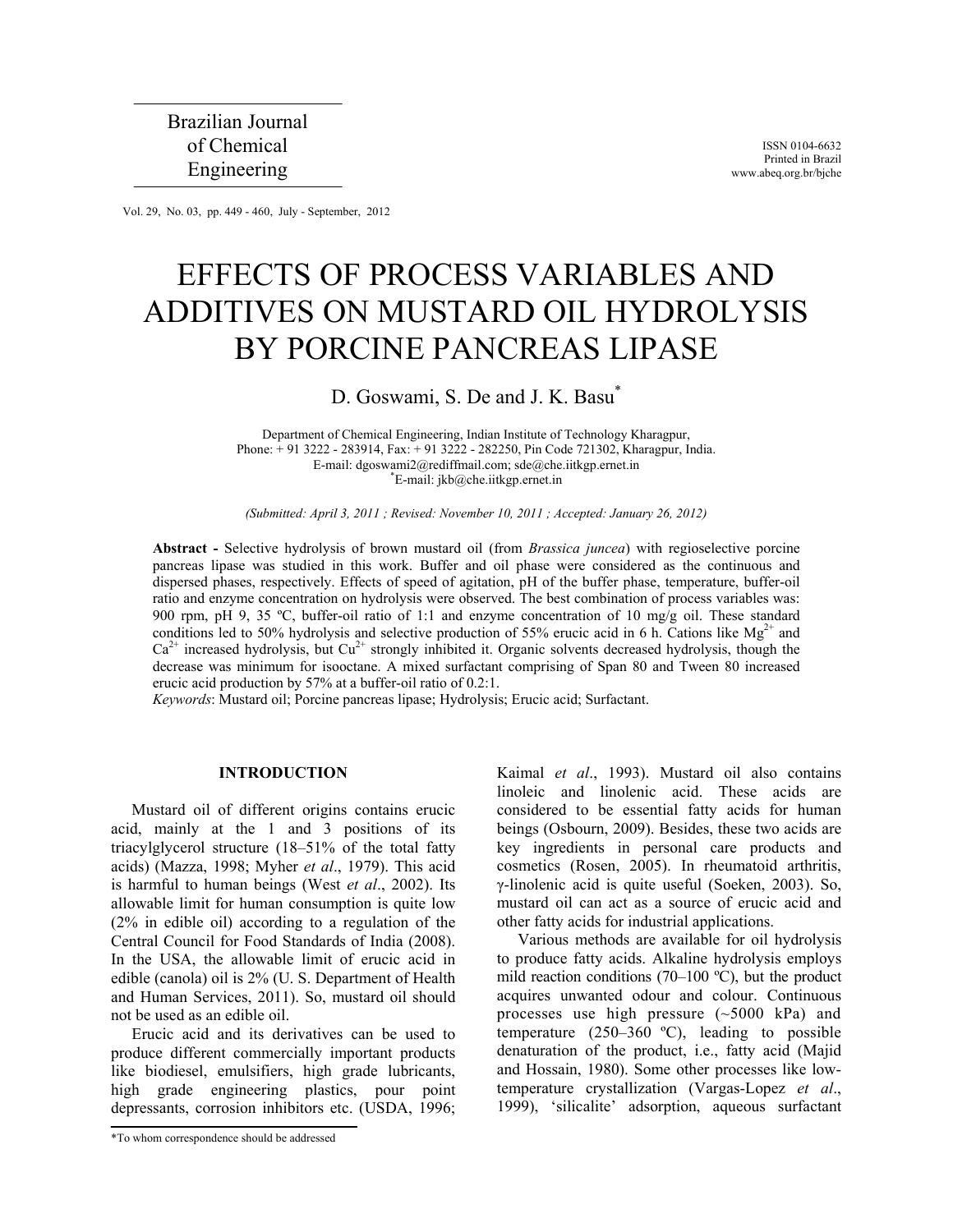ISSN 0104-6632 Printed in Brazil www.abeq.org.br/bjche

Vol. 29, No. 03, pp. 449 - 460, July - September, 2012

# EFFECTS OF PROCESS VARIABLES AND ADDITIVES ON MUSTARD OIL HYDROLYSIS BY PORCINE PANCREAS LIPASE

## D. Goswami, S. De and J. K. Basu<sup>\*</sup>

Department of Chemical Engineering, Indian Institute of Technology Kharagpur, Phone: + 91 3222 - 283914, Fax: + 91 3222 - 282250, Pin Code 721302, Kharagpur, India. E-mail: dgoswami2@rediffmail.com; sde@che.iitkgp.ernet.in \*E-mail: jkb@che.iitkgp.ernet.in

*(Submitted: April 3, 2011 ; Revised: November 10, 2011 ; Accepted: January 26, 2012)* 

**Abstract -** Selective hydrolysis of brown mustard oil (from *Brassica juncea*) with regioselective porcine pancreas lipase was studied in this work. Buffer and oil phase were considered as the continuous and dispersed phases, respectively. Effects of speed of agitation, pH of the buffer phase, temperature, buffer-oil ratio and enzyme concentration on hydrolysis were observed. The best combination of process variables was: 900 rpm, pH 9, 35 ºC, buffer-oil ratio of 1:1 and enzyme concentration of 10 mg/g oil. These standard conditions led to 50% hydrolysis and selective production of 55% erucic acid in 6 h. Cations like  $Mg^{2+}$  and  $Ca<sup>2+</sup>$  increased hydrolysis, but  $Cu<sup>2+</sup>$  strongly inhibited it. Organic solvents decreased hydrolysis, though the decrease was minimum for isooctane. A mixed surfactant comprising of Span 80 and Tween 80 increased erucic acid production by 57% at a buffer-oil ratio of 0.2:1.

*Keywords*: Mustard oil; Porcine pancreas lipase; Hydrolysis; Erucic acid; Surfactant.

## **INTRODUCTION**

Mustard oil of different origins contains erucic acid, mainly at the 1 and 3 positions of its triacylglycerol structure (18–51% of the total fatty acids) (Mazza, 1998; Myher *et al*., 1979). This acid is harmful to human beings (West *et al*., 2002). Its allowable limit for human consumption is quite low (2% in edible oil) according to a regulation of the Central Council for Food Standards of India (2008). In the USA, the allowable limit of erucic acid in edible (canola) oil is 2% (U. S. Department of Health and Human Services, 2011). So, mustard oil should not be used as an edible oil.

Erucic acid and its derivatives can be used to produce different commercially important products like biodiesel, emulsifiers, high grade lubricants, high grade engineering plastics, pour point depressants, corrosion inhibitors etc. (USDA, 1996; Kaimal *et al*., 1993). Mustard oil also contains linoleic and linolenic acid. These acids are considered to be essential fatty acids for human beings (Osbourn, 2009). Besides, these two acids are key ingredients in personal care products and cosmetics (Rosen, 2005). In rheumatoid arthritis, γ-linolenic acid is quite useful (Soeken, 2003). So, mustard oil can act as a source of erucic acid and other fatty acids for industrial applications.

Various methods are available for oil hydrolysis to produce fatty acids. Alkaline hydrolysis employs mild reaction conditions (70–100 ºC), but the product acquires unwanted odour and colour. Continuous processes use high pressure (~5000 kPa) and temperature  $(250-360 \degree C)$ , leading to possible denaturation of the product, i.e., fatty acid (Majid and Hossain, 1980). Some other processes like lowtemperature crystallization (Vargas-Lopez *et al*., 1999), 'silicalite' adsorption, aqueous surfactant

<sup>\*</sup>To whom correspondence should be addressed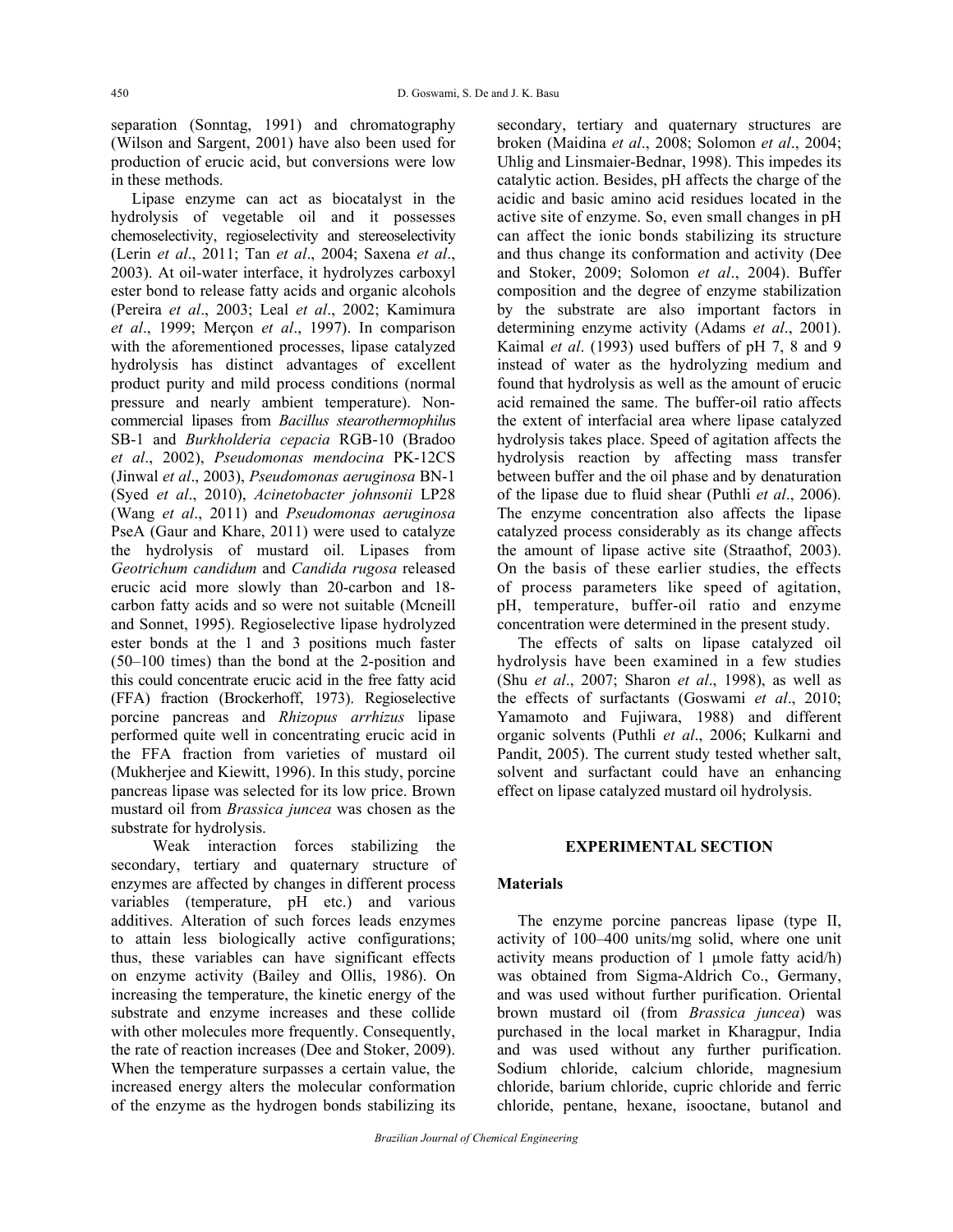separation (Sonntag, 1991) and chromatography (Wilson and Sargent, 2001) have also been used for production of erucic acid, but conversions were low in these methods.

Lipase enzyme can act as biocatalyst in the hydrolysis of vegetable oil and it possesses chemoselectivity, regioselectivity and stereoselectivity (Lerin *et al*., 2011; Tan *et al*., 2004; Saxena *et al*., 2003). At oil-water interface, it hydrolyzes carboxyl ester bond to release fatty acids and organic alcohols (Pereira *et al*., 2003; Leal *et al*., 2002; Kamimura *et al*., 1999; Merçon *et al*., 1997). In comparison with the aforementioned processes, lipase catalyzed hydrolysis has distinct advantages of excellent product purity and mild process conditions (normal pressure and nearly ambient temperature). Noncommercial lipases from *Bacillus stearothermophilu*s SB-1 and *Burkholderia cepacia* RGB-10 (Bradoo *et al*., 2002), *Pseudomonas mendocina* PK-12CS (Jinwal *et al*., 2003), *Pseudomonas aeruginosa* BN-1 (Syed *et al*., 2010), *Acinetobacter johnsonii* LP28 (Wang *et al*., 2011) and *Pseudomonas aeruginosa*  PseA (Gaur and Khare, 2011) were used to catalyze the hydrolysis of mustard oil. Lipases from *Geotrichum candidum* and *Candida rugosa* released erucic acid more slowly than 20-carbon and 18 carbon fatty acids and so were not suitable (Mcneill and Sonnet, 1995). Regioselective lipase hydrolyzed ester bonds at the 1 and 3 positions much faster (50–100 times) than the bond at the 2-position and this could concentrate erucic acid in the free fatty acid (FFA) fraction (Brockerhoff, 1973). Regioselective porcine pancreas and *Rhizopus arrhizus* lipase performed quite well in concentrating erucic acid in the FFA fraction from varieties of mustard oil (Mukherjee and Kiewitt, 1996). In this study, porcine pancreas lipase was selected for its low price. Brown mustard oil from *Brassica juncea* was chosen as the substrate for hydrolysis.

 Weak interaction forces stabilizing the secondary, tertiary and quaternary structure of enzymes are affected by changes in different process variables (temperature, pH etc.) and various additives. Alteration of such forces leads enzymes to attain less biologically active configurations; thus, these variables can have significant effects on enzyme activity (Bailey and Ollis, 1986). On increasing the temperature, the kinetic energy of the substrate and enzyme increases and these collide with other molecules more frequently. Consequently, the rate of reaction increases (Dee and Stoker, 2009). When the temperature surpasses a certain value, the increased energy alters the molecular conformation of the enzyme as the hydrogen bonds stabilizing its secondary, tertiary and quaternary structures are broken (Maidina *et al*., 2008; Solomon *et al*., 2004; Uhlig and Linsmaier-Bednar, 1998). This impedes its catalytic action. Besides, pH affects the charge of the acidic and basic amino acid residues located in the active site of enzyme. So, even small changes in pH can affect the ionic bonds stabilizing its structure and thus change its conformation and activity (Dee and Stoker, 2009; Solomon *et al*., 2004). Buffer composition and the degree of enzyme stabilization by the substrate are also important factors in determining enzyme activity (Adams *et al*., 2001). Kaimal *et al*. (1993) used buffers of pH 7, 8 and 9 instead of water as the hydrolyzing medium and found that hydrolysis as well as the amount of erucic acid remained the same. The buffer-oil ratio affects the extent of interfacial area where lipase catalyzed hydrolysis takes place. Speed of agitation affects the hydrolysis reaction by affecting mass transfer between buffer and the oil phase and by denaturation of the lipase due to fluid shear (Puthli *et al*., 2006). The enzyme concentration also affects the lipase catalyzed process considerably as its change affects the amount of lipase active site (Straathof, 2003). On the basis of these earlier studies, the effects of process parameters like speed of agitation, pH, temperature, buffer-oil ratio and enzyme concentration were determined in the present study.

The effects of salts on lipase catalyzed oil hydrolysis have been examined in a few studies (Shu *et al*., 2007; Sharon *et al*., 1998), as well as the effects of surfactants (Goswami *et al*., 2010; Yamamoto and Fujiwara, 1988) and different organic solvents (Puthli *et al*., 2006; Kulkarni and Pandit, 2005). The current study tested whether salt, solvent and surfactant could have an enhancing effect on lipase catalyzed mustard oil hydrolysis.

## **EXPERIMENTAL SECTION**

## **Materials**

The enzyme porcine pancreas lipase (type II, activity of 100–400 units/mg solid, where one unit activity means production of 1 µmole fatty acid/h) was obtained from Sigma-Aldrich Co., Germany, and was used without further purification. Oriental brown mustard oil (from *Brassica juncea*) was purchased in the local market in Kharagpur, India and was used without any further purification. Sodium chloride, calcium chloride, magnesium chloride, barium chloride, cupric chloride and ferric chloride, pentane, hexane, isooctane, butanol and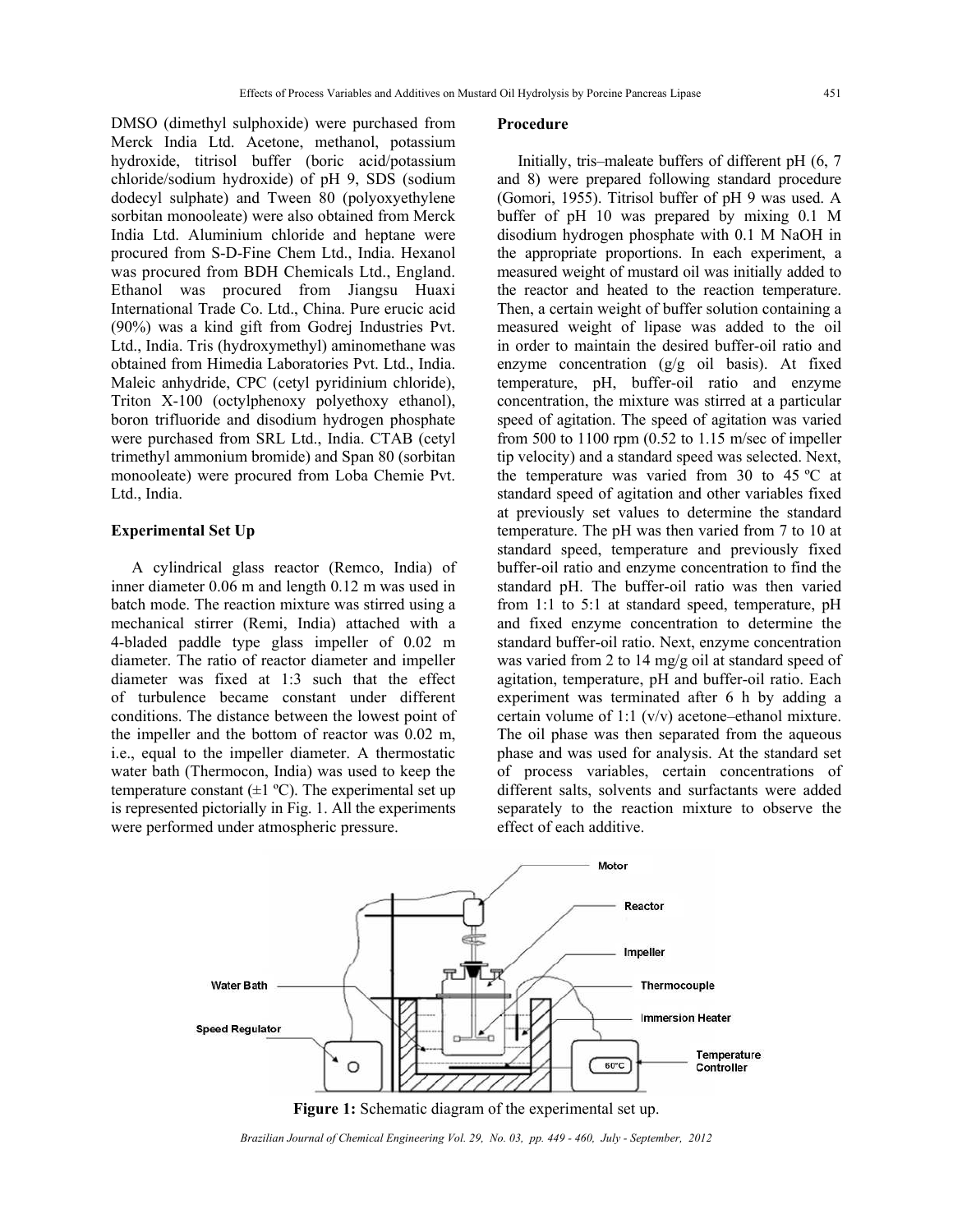DMSO (dimethyl sulphoxide) were purchased from Merck India Ltd. Acetone, methanol, potassium hydroxide, titrisol buffer (boric acid/potassium chloride/sodium hydroxide) of pH 9, SDS (sodium dodecyl sulphate) and Tween 80 (polyoxyethylene sorbitan monooleate) were also obtained from Merck India Ltd. Aluminium chloride and heptane were procured from S-D-Fine Chem Ltd., India. Hexanol was procured from BDH Chemicals Ltd., England. Ethanol was procured from Jiangsu Huaxi International Trade Co. Ltd., China. Pure erucic acid (90%) was a kind gift from Godrej Industries Pvt. Ltd., India. Tris (hydroxymethyl) aminomethane was obtained from Himedia Laboratories Pvt. Ltd., India. Maleic anhydride, CPC (cetyl pyridinium chloride), Triton X-100 (octylphenoxy polyethoxy ethanol), boron trifluoride and disodium hydrogen phosphate were purchased from SRL Ltd., India. CTAB (cetyl trimethyl ammonium bromide) and Span 80 (sorbitan monooleate) were procured from Loba Chemie Pvt. Ltd., India.

## **Experimental Set Up**

A cylindrical glass reactor (Remco, India) of inner diameter 0.06 m and length 0.12 m was used in batch mode. The reaction mixture was stirred using a mechanical stirrer (Remi, India) attached with a 4-bladed paddle type glass impeller of 0.02 m diameter. The ratio of reactor diameter and impeller diameter was fixed at 1:3 such that the effect of turbulence became constant under different conditions. The distance between the lowest point of the impeller and the bottom of reactor was 0.02 m, i.e., equal to the impeller diameter. A thermostatic water bath (Thermocon, India) was used to keep the temperature constant  $(\pm 1 \degree C)$ . The experimental set up is represented pictorially in Fig. 1. All the experiments were performed under atmospheric pressure.

#### **Procedure**

Initially, tris–maleate buffers of different pH (6, 7 and 8) were prepared following standard procedure (Gomori, 1955). Titrisol buffer of pH 9 was used. A buffer of pH 10 was prepared by mixing 0.1 M disodium hydrogen phosphate with 0.1 M NaOH in the appropriate proportions. In each experiment, a measured weight of mustard oil was initially added to the reactor and heated to the reaction temperature. Then, a certain weight of buffer solution containing a measured weight of lipase was added to the oil in order to maintain the desired buffer-oil ratio and enzyme concentration  $(g/g \text{ oil basis})$ . At fixed temperature, pH, buffer-oil ratio and enzyme concentration, the mixture was stirred at a particular speed of agitation. The speed of agitation was varied from 500 to 1100 rpm (0.52 to 1.15 m/sec of impeller tip velocity) and a standard speed was selected. Next, the temperature was varied from 30 to 45 ºC at standard speed of agitation and other variables fixed at previously set values to determine the standard temperature. The pH was then varied from 7 to 10 at standard speed, temperature and previously fixed buffer-oil ratio and enzyme concentration to find the standard pH. The buffer-oil ratio was then varied from 1:1 to 5:1 at standard speed, temperature, pH and fixed enzyme concentration to determine the standard buffer-oil ratio. Next, enzyme concentration was varied from 2 to 14 mg/g oil at standard speed of agitation, temperature, pH and buffer-oil ratio. Each experiment was terminated after 6 h by adding a certain volume of 1:1 (v/v) acetone–ethanol mixture. The oil phase was then separated from the aqueous phase and was used for analysis. At the standard set of process variables, certain concentrations of different salts, solvents and surfactants were added separately to the reaction mixture to observe the effect of each additive.





*Brazilian Journal of Chemical Engineering Vol. 29, No. 03, pp. 449 - 460, July - September, 2012*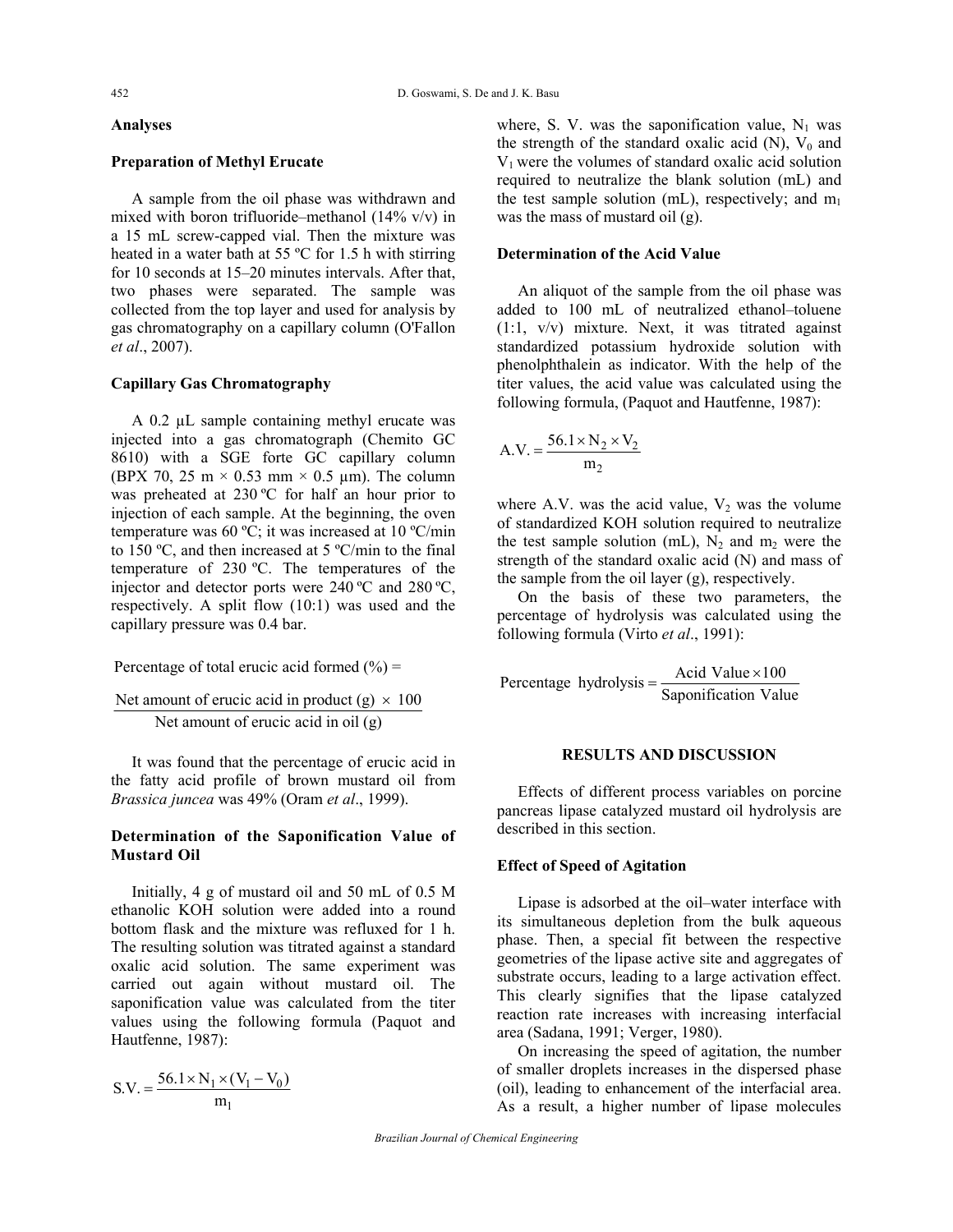## **Analyses**

## **Preparation of Methyl Erucate**

A sample from the oil phase was withdrawn and mixed with boron trifluoride–methanol  $(14\% \text{ v/v})$  in a 15 mL screw-capped vial. Then the mixture was heated in a water bath at 55 ºC for 1.5 h with stirring for 10 seconds at 15–20 minutes intervals. After that, two phases were separated. The sample was collected from the top layer and used for analysis by gas chromatography on a capillary column (O'Fallon *et al*., 2007).

## **Capillary Gas Chromatography**

A 0.2 µL sample containing methyl erucate was injected into a gas chromatograph (Chemito GC 8610) with a SGE forte GC capillary column (BPX 70, 25 m  $\times$  0.53 mm  $\times$  0.5 µm). The column was preheated at 230 °C for half an hour prior to injection of each sample. At the beginning, the oven temperature was 60 ºC; it was increased at 10 ºC/min to 150 ºC, and then increased at 5 ºC/min to the final temperature of 230 ºC. The temperatures of the injector and detector ports were 240 ºC and 280 ºC, respectively. A split flow (10:1) was used and the capillary pressure was 0.4 bar.

Percentage of total erucic acid formed  $(\% )$  =

Net amount of erucic acid in product  $(g) \times 100$ Net amount of erucic acid in oil (g)

It was found that the percentage of erucic acid in the fatty acid profile of brown mustard oil from *Brassica juncea* was 49% (Oram *et al*., 1999).

## **Determination of the Saponification Value of Mustard Oil**

Initially, 4 g of mustard oil and 50 mL of 0.5 M ethanolic KOH solution were added into a round bottom flask and the mixture was refluxed for 1 h. The resulting solution was titrated against a standard oxalic acid solution. The same experiment was carried out again without mustard oil. The saponification value was calculated from the titer values using the following formula (Paquot and Hautfenne, 1987):

$$
S.V. = \frac{56.1 \times N_1 \times (V_1 - V_0)}{m_1}
$$

where, S. V. was the saponification value,  $N_1$  was the strength of the standard oxalic acid  $(N)$ ,  $V_0$  and  $V_1$  were the volumes of standard oxalic acid solution required to neutralize the blank solution (mL) and the test sample solution (mL), respectively; and  $m_1$ was the mass of mustard oil (g).

#### **Determination of the Acid Value**

An aliquot of the sample from the oil phase was added to 100 mL of neutralized ethanol–toluene (1:1, v/v) mixture. Next, it was titrated against standardized potassium hydroxide solution with phenolphthalein as indicator. With the help of the titer values, the acid value was calculated using the following formula, (Paquot and Hautfenne, 1987):

$$
A.V. = \frac{56.1 \times N_2 \times V_2}{m_2}
$$

where A.V. was the acid value,  $V_2$  was the volume of standardized KOH solution required to neutralize the test sample solution (mL),  $N_2$  and m<sub>2</sub> were the strength of the standard oxalic acid (N) and mass of the sample from the oil layer (g), respectively.

On the basis of these two parameters, the percentage of hydrolysis was calculated using the following formula (Virto *et al*., 1991):

Percentage hydrolysis =  $\frac{\text{Acid Value} \times 100}{\text{Cauchy}}$ Saponification Value  $=\frac{AcidValue \times}{\pi}$ 

## **RESULTS AND DISCUSSION**

Effects of different process variables on porcine pancreas lipase catalyzed mustard oil hydrolysis are described in this section.

#### **Effect of Speed of Agitation**

Lipase is adsorbed at the oil–water interface with its simultaneous depletion from the bulk aqueous phase. Then, a special fit between the respective geometries of the lipase active site and aggregates of substrate occurs, leading to a large activation effect. This clearly signifies that the lipase catalyzed reaction rate increases with increasing interfacial area (Sadana, 1991; Verger, 1980).

On increasing the speed of agitation, the number of smaller droplets increases in the dispersed phase (oil), leading to enhancement of the interfacial area. As a result, a higher number of lipase molecules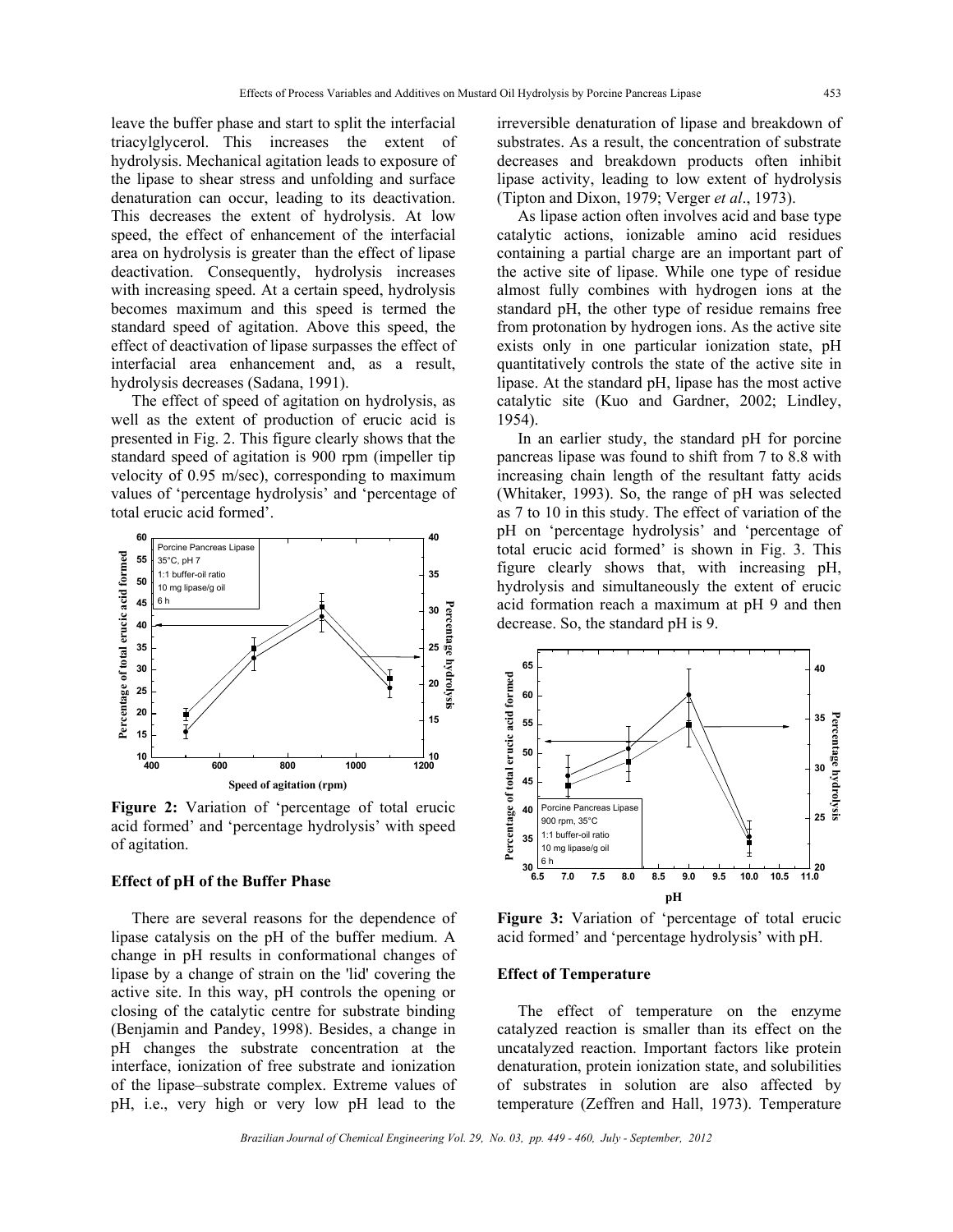leave the buffer phase and start to split the interfacial triacylglycerol. This increases the extent of hydrolysis. Mechanical agitation leads to exposure of the lipase to shear stress and unfolding and surface denaturation can occur, leading to its deactivation. This decreases the extent of hydrolysis. At low speed, the effect of enhancement of the interfacial area on hydrolysis is greater than the effect of lipase deactivation. Consequently, hydrolysis increases with increasing speed. At a certain speed, hydrolysis becomes maximum and this speed is termed the standard speed of agitation. Above this speed, the effect of deactivation of lipase surpasses the effect of interfacial area enhancement and, as a result, hydrolysis decreases (Sadana, 1991).

The effect of speed of agitation on hydrolysis, as well as the extent of production of erucic acid is presented in Fig. 2. This figure clearly shows that the standard speed of agitation is 900 rpm (impeller tip velocity of 0.95 m/sec), corresponding to maximum values of 'percentage hydrolysis' and 'percentage of total erucic acid formed'.



**Figure 2:** Variation of 'percentage of total erucic acid formed' and 'percentage hydrolysis' with speed of agitation.

## **Effect of pH of the Buffer Phase**

There are several reasons for the dependence of lipase catalysis on the pH of the buffer medium. A change in pH results in conformational changes of lipase by a change of strain on the 'lid' covering the active site. In this way, pH controls the opening or closing of the catalytic centre for substrate binding (Benjamin and Pandey, 1998). Besides, a change in pH changes the substrate concentration at the interface, ionization of free substrate and ionization of the lipase–substrate complex. Extreme values of pH, i.e., very high or very low pH lead to the irreversible denaturation of lipase and breakdown of substrates. As a result, the concentration of substrate decreases and breakdown products often inhibit lipase activity, leading to low extent of hydrolysis (Tipton and Dixon, 1979; Verger *et al*., 1973).

As lipase action often involves acid and base type catalytic actions, ionizable amino acid residues containing a partial charge are an important part of the active site of lipase. While one type of residue almost fully combines with hydrogen ions at the standard pH, the other type of residue remains free from protonation by hydrogen ions. As the active site exists only in one particular ionization state, pH quantitatively controls the state of the active site in lipase. At the standard pH, lipase has the most active catalytic site (Kuo and Gardner, 2002; Lindley, 1954).

In an earlier study, the standard pH for porcine pancreas lipase was found to shift from 7 to 8.8 with increasing chain length of the resultant fatty acids (Whitaker, 1993). So, the range of pH was selected as 7 to 10 in this study. The effect of variation of the pH on 'percentage hydrolysis' and 'percentage of total erucic acid formed' is shown in Fig. 3. This figure clearly shows that, with increasing pH, hydrolysis and simultaneously the extent of erucic acid formation reach a maximum at pH 9 and then decrease. So, the standard pH is 9.



**Figure 3:** Variation of 'percentage of total erucic acid formed' and 'percentage hydrolysis' with pH.

## **Effect of Temperature**

The effect of temperature on the enzyme catalyzed reaction is smaller than its effect on the uncatalyzed reaction. Important factors like protein denaturation, protein ionization state, and solubilities of substrates in solution are also affected by temperature (Zeffren and Hall, 1973). Temperature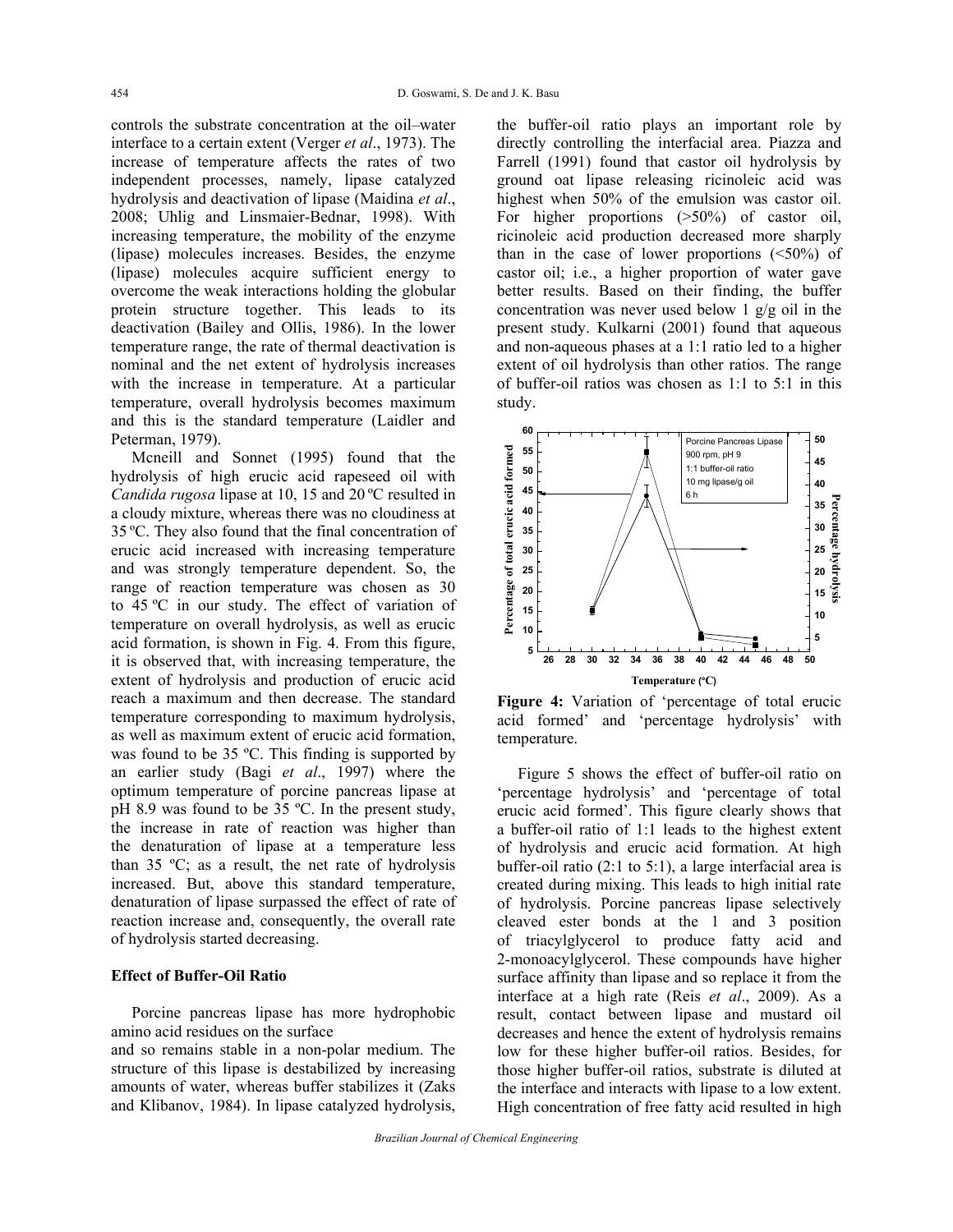controls the substrate concentration at the oil–water interface to a certain extent (Verger *et al*., 1973). The increase of temperature affects the rates of two independent processes, namely, lipase catalyzed hydrolysis and deactivation of lipase (Maidina *et al*., 2008; Uhlig and Linsmaier-Bednar, 1998). With increasing temperature, the mobility of the enzyme (lipase) molecules increases. Besides, the enzyme (lipase) molecules acquire sufficient energy to overcome the weak interactions holding the globular protein structure together. This leads to its deactivation (Bailey and Ollis, 1986). In the lower temperature range, the rate of thermal deactivation is nominal and the net extent of hydrolysis increases with the increase in temperature. At a particular temperature, overall hydrolysis becomes maximum and this is the standard temperature (Laidler and Peterman, 1979).

Mcneill and Sonnet (1995) found that the hydrolysis of high erucic acid rapeseed oil with *Candida rugosa* lipase at 10, 15 and 20 ºC resulted in a cloudy mixture, whereas there was no cloudiness at 35 ºC. They also found that the final concentration of erucic acid increased with increasing temperature and was strongly temperature dependent. So, the range of reaction temperature was chosen as 30 to 45 ºC in our study. The effect of variation of temperature on overall hydrolysis, as well as erucic acid formation, is shown in Fig. 4. From this figure, it is observed that, with increasing temperature, the extent of hydrolysis and production of erucic acid reach a maximum and then decrease. The standard temperature corresponding to maximum hydrolysis, as well as maximum extent of erucic acid formation, was found to be 35 ºC. This finding is supported by an earlier study (Bagi *et al*., 1997) where the optimum temperature of porcine pancreas lipase at pH 8.9 was found to be 35 ºC. In the present study, the increase in rate of reaction was higher than the denaturation of lipase at a temperature less than 35 ºC; as a result, the net rate of hydrolysis increased. But, above this standard temperature, denaturation of lipase surpassed the effect of rate of reaction increase and, consequently, the overall rate of hydrolysis started decreasing.

## **Effect of Buffer-Oil Ratio**

Porcine pancreas lipase has more hydrophobic amino acid residues on the surface

and so remains stable in a non-polar medium. The structure of this lipase is destabilized by increasing amounts of water, whereas buffer stabilizes it (Zaks and Klibanov, 1984). In lipase catalyzed hydrolysis, the buffer-oil ratio plays an important role by directly controlling the interfacial area. Piazza and Farrell (1991) found that castor oil hydrolysis by ground oat lipase releasing ricinoleic acid was highest when 50% of the emulsion was castor oil. For higher proportions ( $>50\%$ ) of castor oil, ricinoleic acid production decreased more sharply than in the case of lower proportions  $(\leq 50\%)$  of castor oil; i.e., a higher proportion of water gave better results. Based on their finding, the buffer concentration was never used below 1 g/g oil in the present study. Kulkarni (2001) found that aqueous and non-aqueous phases at a 1:1 ratio led to a higher extent of oil hydrolysis than other ratios. The range of buffer-oil ratios was chosen as 1:1 to 5:1 in this study.



**Figure 4:** Variation of 'percentage of total erucic acid formed' and 'percentage hydrolysis' with temperature.

Figure 5 shows the effect of buffer-oil ratio on 'percentage hydrolysis' and 'percentage of total erucic acid formed'. This figure clearly shows that a buffer-oil ratio of 1:1 leads to the highest extent of hydrolysis and erucic acid formation. At high buffer-oil ratio (2:1 to 5:1), a large interfacial area is created during mixing. This leads to high initial rate of hydrolysis. Porcine pancreas lipase selectively cleaved ester bonds at the 1 and 3 position of triacylglycerol to produce fatty acid and 2-monoacylglycerol. These compounds have higher surface affinity than lipase and so replace it from the interface at a high rate (Reis *et al*., 2009). As a result, contact between lipase and mustard oil decreases and hence the extent of hydrolysis remains low for these higher buffer-oil ratios. Besides, for those higher buffer-oil ratios, substrate is diluted at the interface and interacts with lipase to a low extent. High concentration of free fatty acid resulted in high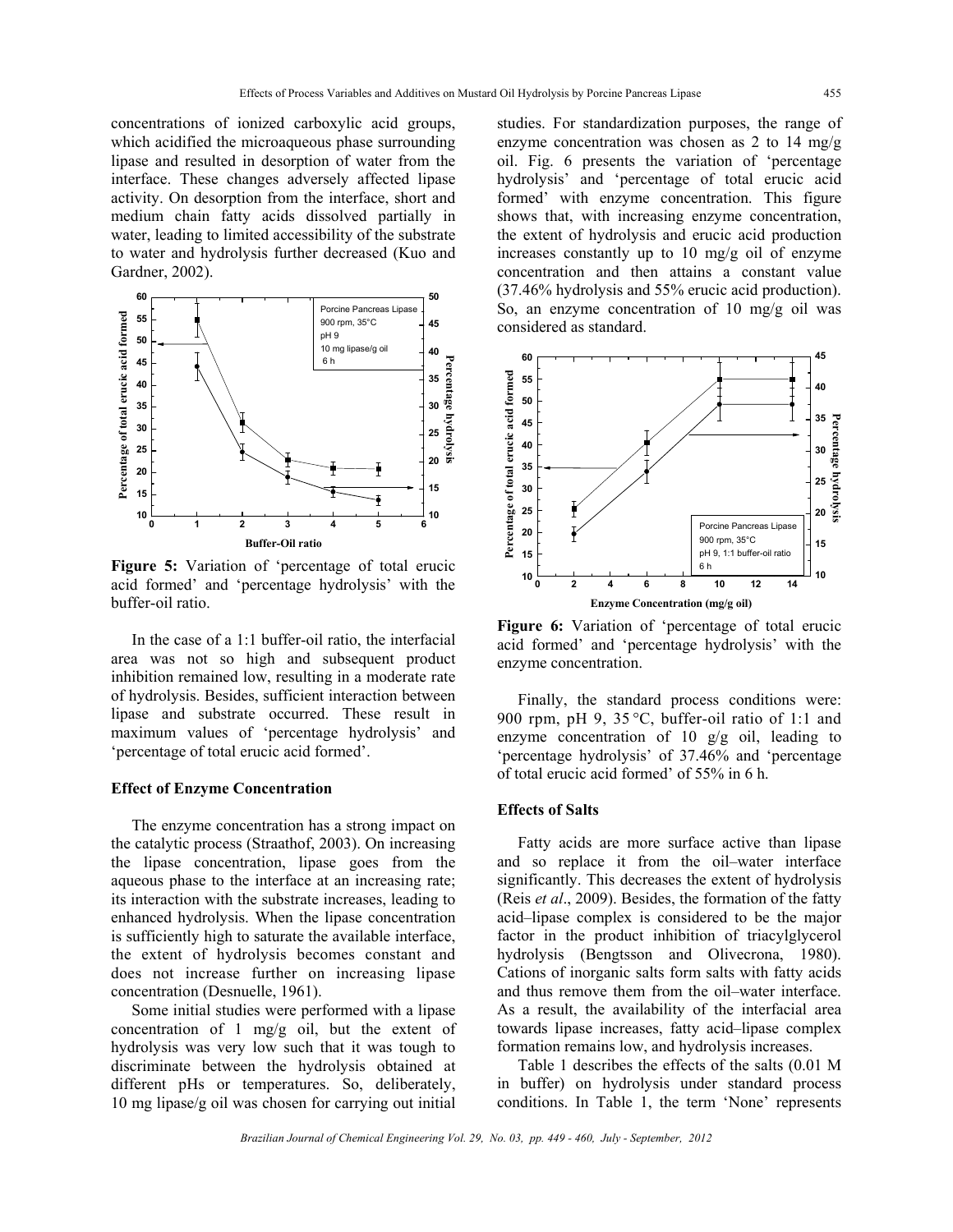concentrations of ionized carboxylic acid groups, which acidified the microaqueous phase surrounding lipase and resulted in desorption of water from the interface. These changes adversely affected lipase activity. On desorption from the interface, short and medium chain fatty acids dissolved partially in water, leading to limited accessibility of the substrate to water and hydrolysis further decreased (Kuo and Gardner, 2002).



**Figure 5:** Variation of 'percentage of total erucic acid formed' and 'percentage hydrolysis' with the buffer-oil ratio.

In the case of a 1:1 buffer-oil ratio, the interfacial area was not so high and subsequent product inhibition remained low, resulting in a moderate rate of hydrolysis. Besides, sufficient interaction between lipase and substrate occurred. These result in maximum values of 'percentage hydrolysis' and 'percentage of total erucic acid formed'.

#### **Effect of Enzyme Concentration**

The enzyme concentration has a strong impact on the catalytic process (Straathof, 2003). On increasing the lipase concentration, lipase goes from the aqueous phase to the interface at an increasing rate; its interaction with the substrate increases, leading to enhanced hydrolysis. When the lipase concentration is sufficiently high to saturate the available interface, the extent of hydrolysis becomes constant and does not increase further on increasing lipase concentration (Desnuelle, 1961).

Some initial studies were performed with a lipase concentration of 1 mg/g oil, but the extent of hydrolysis was very low such that it was tough to discriminate between the hydrolysis obtained at different pHs or temperatures. So, deliberately, 10 mg lipase/g oil was chosen for carrying out initial studies. For standardization purposes, the range of enzyme concentration was chosen as 2 to 14 mg/g oil. Fig. 6 presents the variation of 'percentage hydrolysis' and 'percentage of total erucic acid formed' with enzyme concentration. This figure shows that, with increasing enzyme concentration, the extent of hydrolysis and erucic acid production increases constantly up to 10 mg/g oil of enzyme concentration and then attains a constant value (37.46% hydrolysis and 55% erucic acid production). So, an enzyme concentration of 10 mg/g oil was considered as standard.



**Figure 6:** Variation of 'percentage of total erucic acid formed' and 'percentage hydrolysis' with the enzyme concentration.

Finally, the standard process conditions were: 900 rpm, pH 9, 35 °C, buffer-oil ratio of 1:1 and enzyme concentration of 10 g/g oil, leading to 'percentage hydrolysis' of 37.46% and 'percentage of total erucic acid formed' of 55% in 6 h.

## **Effects of Salts**

Fatty acids are more surface active than lipase and so replace it from the oil–water interface significantly. This decreases the extent of hydrolysis (Reis *et al*., 2009). Besides, the formation of the fatty acid–lipase complex is considered to be the major factor in the product inhibition of triacylglycerol hydrolysis (Bengtsson and Olivecrona, 1980). Cations of inorganic salts form salts with fatty acids and thus remove them from the oil–water interface. As a result, the availability of the interfacial area towards lipase increases, fatty acid–lipase complex formation remains low, and hydrolysis increases.

Table 1 describes the effects of the salts (0.01 M in buffer) on hydrolysis under standard process conditions. In Table 1, the term 'None' represents

*Brazilian Journal of Chemical Engineering Vol. 29, No. 03, pp. 449 - 460, July - September, 2012*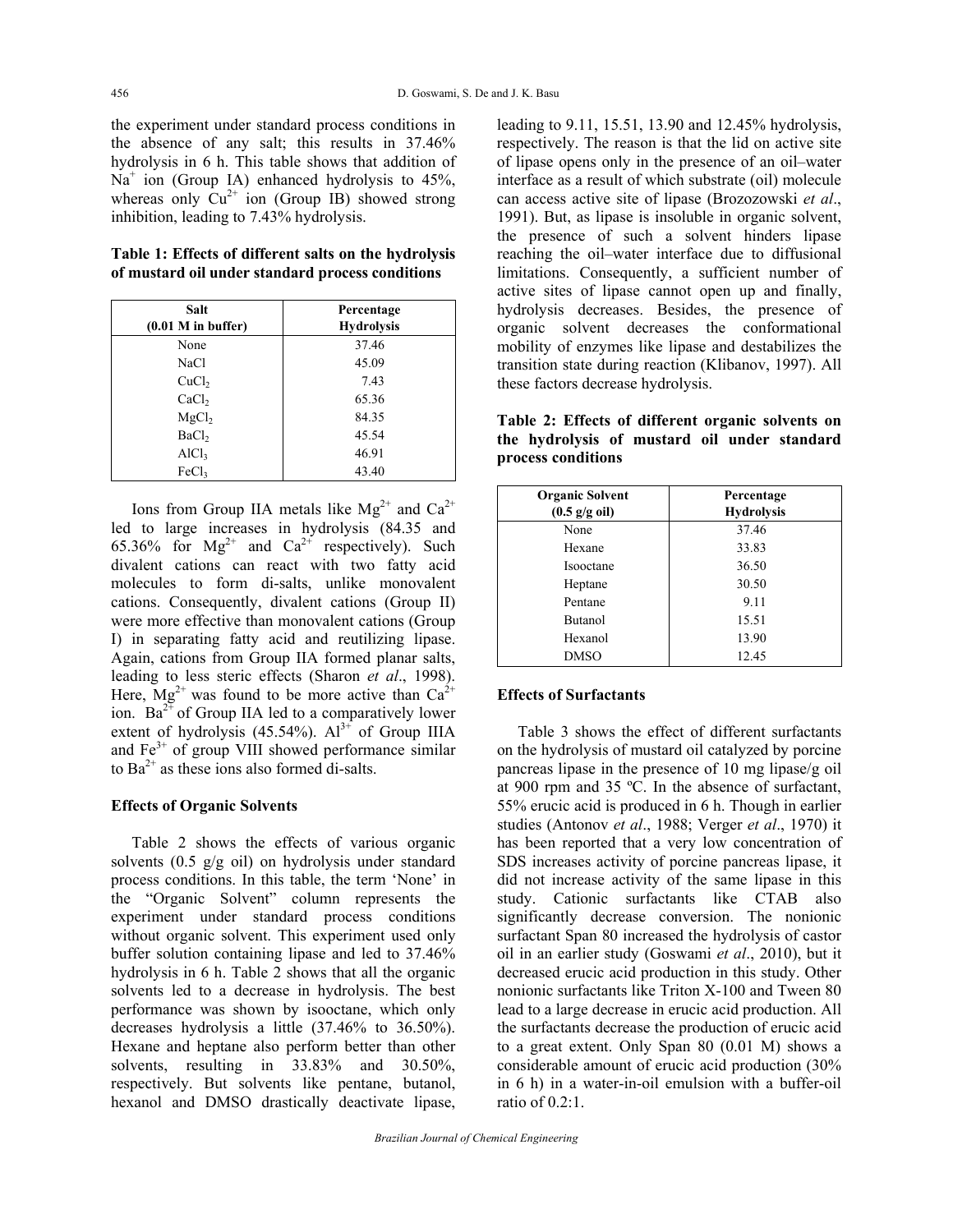the experiment under standard process conditions in the absence of any salt; this results in 37.46% hydrolysis in 6 h. This table shows that addition of Na<sup>+</sup> ion (Group IA) enhanced hydrolysis to 45%, whereas only  $Cu^{2+}$  ion (Group IB) showed strong inhibition, leading to 7.43% hydrolysis.

**Table 1: Effects of different salts on the hydrolysis of mustard oil under standard process conditions** 

| Salt                  | Percentage        |
|-----------------------|-------------------|
| $(0.01 M)$ in buffer) | <b>Hydrolysis</b> |
| None                  | 37.46             |
| NaCl                  | 45.09             |
| CuCl <sub>2</sub>     | 7.43              |
| CaCl <sub>2</sub>     | 65.36             |
| MgCl <sub>2</sub>     | 84.35             |
| BaCl <sub>2</sub>     | 45.54             |
| AICl <sub>3</sub>     | 46.91             |
| FeCl <sub>3</sub>     | 43.40             |

Ions from Group IIA metals like  $Mg^{2+}$  and  $Ca^{2+}$ led to large increases in hydrolysis (84.35 and 65.36% for  $Mg^{2+}$  and  $Ca^{2+}$  respectively). Such divalent cations can react with two fatty acid molecules to form di-salts, unlike monovalent cations. Consequently, divalent cations (Group II) were more effective than monovalent cations (Group I) in separating fatty acid and reutilizing lipase. Again, cations from Group IIA formed planar salts, leading to less steric effects (Sharon *et al*., 1998). Here,  $Mg^{2+}$  was found to be more active than  $Ca^{2+}$ ion.  $Ba^{2+}$  of Group IIA led to a comparatively lower extent of hydrolysis  $(45.54\%)$ .  $Al^{3+}$  of Group IIIA and  $Fe<sup>3+</sup>$  of group VIII showed performance similar to  $Ba^{2+}$  as these ions also formed di-salts.

## **Effects of Organic Solvents**

Table 2 shows the effects of various organic solvents (0.5 g/g oil) on hydrolysis under standard process conditions. In this table, the term 'None' in the "Organic Solvent" column represents the experiment under standard process conditions without organic solvent. This experiment used only buffer solution containing lipase and led to 37.46% hydrolysis in 6 h. Table 2 shows that all the organic solvents led to a decrease in hydrolysis. The best performance was shown by isooctane, which only decreases hydrolysis a little (37.46% to 36.50%). Hexane and heptane also perform better than other solvents, resulting in 33.83% and 30.50%, respectively. But solvents like pentane, butanol, hexanol and DMSO drastically deactivate lipase, leading to 9.11, 15.51, 13.90 and 12.45% hydrolysis, respectively. The reason is that the lid on active site of lipase opens only in the presence of an oil–water interface as a result of which substrate (oil) molecule can access active site of lipase (Brozozowski *et al*., 1991). But, as lipase is insoluble in organic solvent, the presence of such a solvent hinders lipase reaching the oil–water interface due to diffusional limitations. Consequently, a sufficient number of active sites of lipase cannot open up and finally, hydrolysis decreases. Besides, the presence of organic solvent decreases the conformational mobility of enzymes like lipase and destabilizes the transition state during reaction (Klibanov, 1997). All these factors decrease hydrolysis.

**Table 2: Effects of different organic solvents on the hydrolysis of mustard oil under standard process conditions** 

| <b>Organic Solvent</b><br>$(0.5 \text{ g/g oil})$ | Percentage<br><b>Hydrolysis</b> |
|---------------------------------------------------|---------------------------------|
| None                                              | 37.46                           |
| Hexane                                            | 33.83                           |
| Isooctane                                         | 36.50                           |
| Heptane                                           | 30.50                           |
| Pentane                                           | 9.11                            |
| <b>Butanol</b>                                    | 15.51                           |
| Hexanol                                           | 13.90                           |
| DMSO                                              | 12.45                           |

## **Effects of Surfactants**

Table 3 shows the effect of different surfactants on the hydrolysis of mustard oil catalyzed by porcine pancreas lipase in the presence of 10 mg lipase/g oil at 900 rpm and 35 ºC. In the absence of surfactant, 55% erucic acid is produced in 6 h. Though in earlier studies (Antonov *et al*., 1988; Verger *et al*., 1970) it has been reported that a very low concentration of SDS increases activity of porcine pancreas lipase, it did not increase activity of the same lipase in this study. Cationic surfactants like CTAB also significantly decrease conversion. The nonionic surfactant Span 80 increased the hydrolysis of castor oil in an earlier study (Goswami *et al*., 2010), but it decreased erucic acid production in this study. Other nonionic surfactants like Triton X-100 and Tween 80 lead to a large decrease in erucic acid production. All the surfactants decrease the production of erucic acid to a great extent. Only Span 80 (0.01 M) shows a considerable amount of erucic acid production (30% in 6 h) in a water-in-oil emulsion with a buffer-oil ratio of 0.2:1.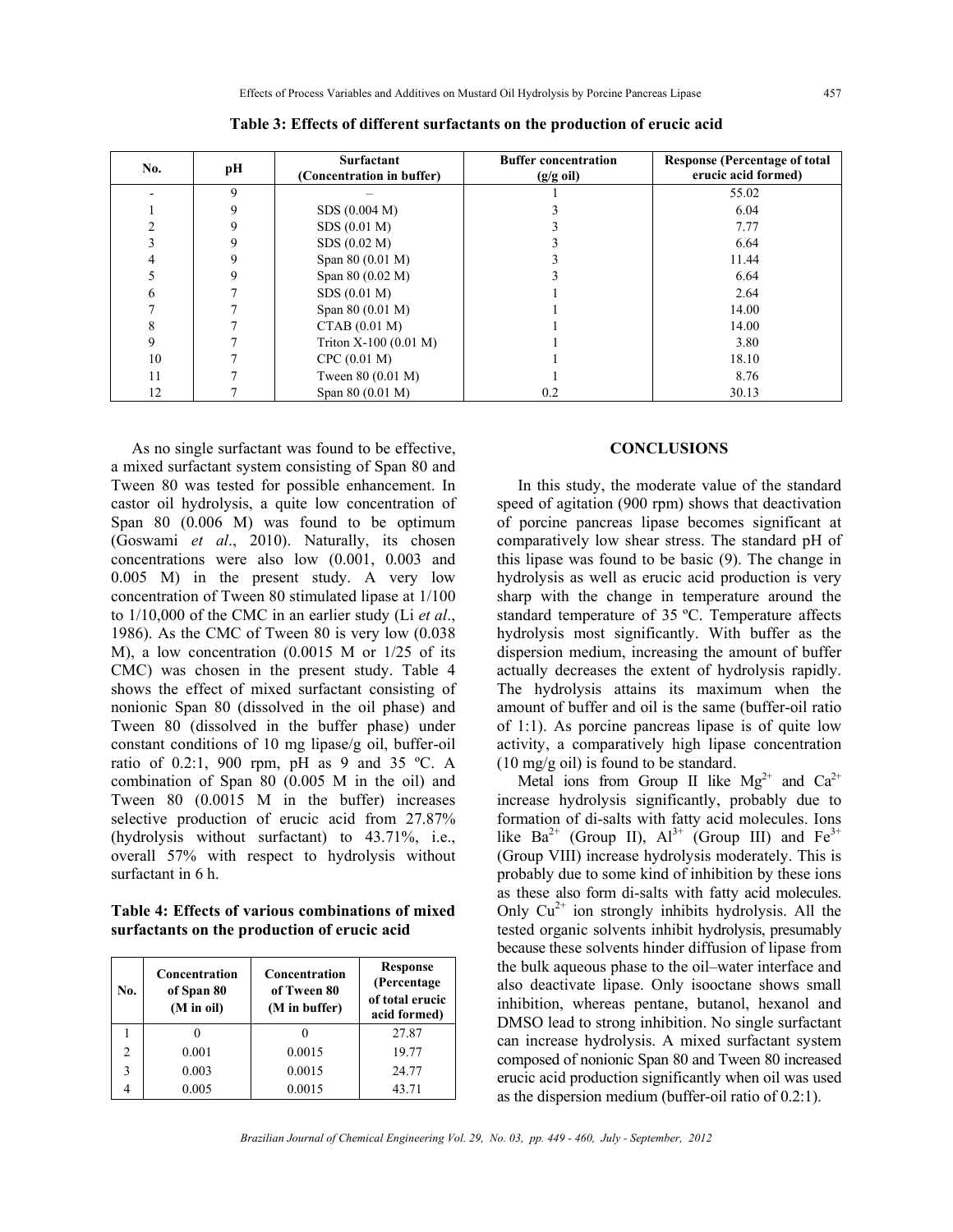| No. | pН | <b>Surfactant</b><br>(Concentration in buffer) | <b>Buffer concentration</b><br>$(g/g \text{ oil})$ | <b>Response (Percentage of total</b><br>erucic acid formed) |
|-----|----|------------------------------------------------|----------------------------------------------------|-------------------------------------------------------------|
|     | 9  |                                                |                                                    | 55.02                                                       |
|     | 9  | SDS (0.004 M)                                  |                                                    | 6.04                                                        |
|     |    | SDS (0.01 M)                                   |                                                    | 7.77                                                        |
|     |    | SDS (0.02 M)                                   |                                                    | 6.64                                                        |
| 4   |    | Span 80 (0.01 M)                               |                                                    | 11.44                                                       |
|     |    | Span 80 (0.02 M)                               |                                                    | 6.64                                                        |
| 6   |    | SDS (0.01 M)                                   |                                                    | 2.64                                                        |
|     |    | Span 80 (0.01 M)                               |                                                    | 14.00                                                       |
| 8   |    | CTAB(0.01 M)                                   |                                                    | 14.00                                                       |
| 9   |    | Triton $X-100$ (0.01 M)                        |                                                    | 3.80                                                        |
| 10  |    | CPC (0.01 M)                                   |                                                    | 18.10                                                       |
| 11  |    | Tween 80 (0.01 M)                              |                                                    | 8.76                                                        |
| 12  |    | Span 80 (0.01 M)                               | 0.2                                                | 30.13                                                       |

**Table 3: Effects of different surfactants on the production of erucic acid** 

As no single surfactant was found to be effective, a mixed surfactant system consisting of Span 80 and Tween 80 was tested for possible enhancement. In castor oil hydrolysis, a quite low concentration of Span 80 (0.006 M) was found to be optimum (Goswami *et al*., 2010). Naturally, its chosen concentrations were also low (0.001, 0.003 and 0.005 M) in the present study. A very low concentration of Tween 80 stimulated lipase at 1/100 to 1/10,000 of the CMC in an earlier study (Li *et al*., 1986). As the CMC of Tween 80 is very low (0.038 M), a low concentration (0.0015 M or 1/25 of its CMC) was chosen in the present study. Table 4 shows the effect of mixed surfactant consisting of nonionic Span 80 (dissolved in the oil phase) and Tween 80 (dissolved in the buffer phase) under constant conditions of 10 mg lipase/g oil, buffer-oil ratio of 0.2:1, 900 rpm, pH as 9 and 35 ºC. A combination of Span 80 (0.005 M in the oil) and Tween 80 (0.0015 M in the buffer) increases selective production of erucic acid from 27.87% (hydrolysis without surfactant) to 43.71%, i.e., overall 57% with respect to hydrolysis without surfactant in 6 h.

**Table 4: Effects of various combinations of mixed surfactants on the production of erucic acid** 

| No.            | Concentration<br>of Span 80<br>(M in oil) | <b>Concentration</b><br>of Tween 80<br>(M in buffer) | <b>Response</b><br>(Percentage)<br>of total erucic<br>acid formed) |
|----------------|-------------------------------------------|------------------------------------------------------|--------------------------------------------------------------------|
|                |                                           |                                                      | 27.87                                                              |
| $\mathfrak{D}$ | 0.001                                     | 0.0015                                               | 19.77                                                              |
| $\mathcal{E}$  | 0.003                                     | 0.0015                                               | 24.77                                                              |
|                | 0.005                                     | 0.0015                                               | 43.71                                                              |

## **CONCLUSIONS**

In this study, the moderate value of the standard speed of agitation (900 rpm) shows that deactivation of porcine pancreas lipase becomes significant at comparatively low shear stress. The standard pH of this lipase was found to be basic (9). The change in hydrolysis as well as erucic acid production is very sharp with the change in temperature around the standard temperature of 35 ºC. Temperature affects hydrolysis most significantly. With buffer as the dispersion medium, increasing the amount of buffer actually decreases the extent of hydrolysis rapidly. The hydrolysis attains its maximum when the amount of buffer and oil is the same (buffer-oil ratio of 1:1). As porcine pancreas lipase is of quite low activity, a comparatively high lipase concentration (10 mg/g oil) is found to be standard.

Metal ions from Group II like  $Mg^{2+}$  and  $Ca^{2+}$ increase hydrolysis significantly, probably due to formation of di-salts with fatty acid molecules. Ions like Ba<sup>2+</sup> (Group II),  $Al^{3+}$  (Group III) and Fe<sup>3+</sup> (Group VIII) increase hydrolysis moderately. This is probably due to some kind of inhibition by these ions as these also form di-salts with fatty acid molecules. Only  $Cu^{2+}$  ion strongly inhibits hydrolysis. All the tested organic solvents inhibit hydrolysis, presumably because these solvents hinder diffusion of lipase from the bulk aqueous phase to the oil–water interface and also deactivate lipase. Only isooctane shows small inhibition, whereas pentane, butanol, hexanol and DMSO lead to strong inhibition. No single surfactant can increase hydrolysis. A mixed surfactant system composed of nonionic Span 80 and Tween 80 increased erucic acid production significantly when oil was used as the dispersion medium (buffer-oil ratio of 0.2:1).

*Brazilian Journal of Chemical Engineering Vol. 29, No. 03, pp. 449 - 460, July - September, 2012*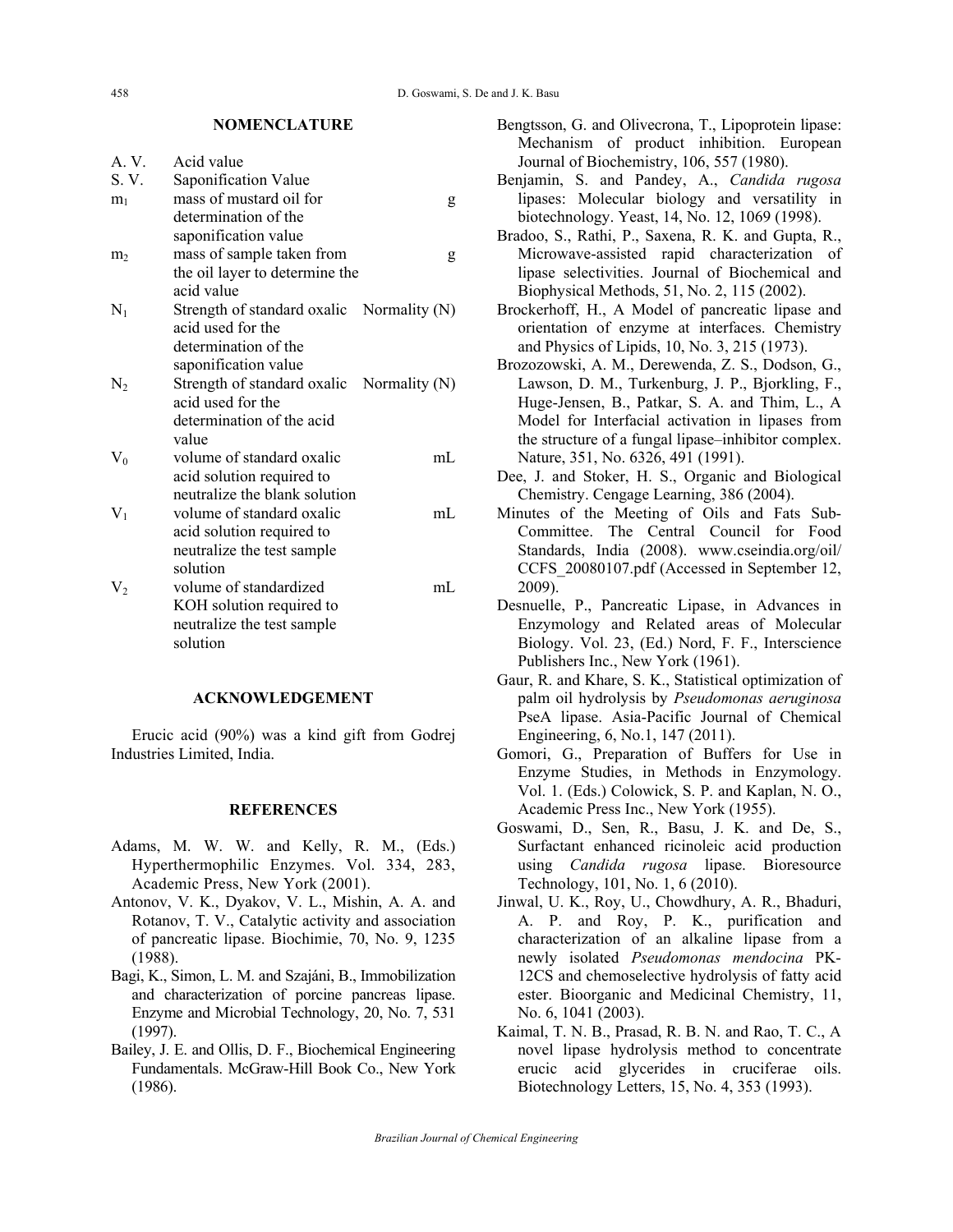#### **NOMENCLATURE**

| A. V.          | Acid value                     |                 |
|----------------|--------------------------------|-----------------|
| S.V.           | Saponification Value           |                 |
| m <sub>1</sub> | mass of mustard oil for        | g               |
|                | determination of the           |                 |
|                | saponification value           |                 |
| m <sub>2</sub> | mass of sample taken from      | g               |
|                | the oil layer to determine the |                 |
|                | acid value                     |                 |
| $N_1$          | Strength of standard oxalic    | Normality $(N)$ |
|                | acid used for the              |                 |
|                | determination of the           |                 |
|                | saponification value           |                 |
| $N_2$          | Strength of standard oxalic    | Normality $(N)$ |
|                | acid used for the              |                 |
|                | determination of the acid      |                 |
|                | value                          |                 |
| $V_0$          | volume of standard oxalic      | mL              |
|                | acid solution required to      |                 |
|                | neutralize the blank solution  |                 |
| $V_1$          | volume of standard oxalic      | mL              |
|                | acid solution required to      |                 |
|                | neutralize the test sample     |                 |
|                | solution                       |                 |
| V <sub>2</sub> | volume of standardized         | mL              |
|                | KOH solution required to       |                 |
|                | neutralize the test sample     |                 |
|                | solution                       |                 |

#### **ACKNOWLEDGEMENT**

Erucic acid (90%) was a kind gift from Godrej Industries Limited, India.

#### **REFERENCES**

- Adams, M. W. W. and Kelly, R. M., (Eds.) Hyperthermophilic Enzymes. Vol. 334, 283, Academic Press, New York (2001).
- Antonov, V. K., Dyakov, V. L., Mishin, A. A. and Rotanov, T. V., Catalytic activity and association of pancreatic lipase. Biochimie, 70, No. 9, 1235 (1988).
- Bagi, K., Simon, L. M. and Szajáni, B., Immobilization and characterization of porcine pancreas lipase. Enzyme and Microbial Technology, 20, No. 7, 531 (1997).
- Bailey, J. E. and Ollis, D. F., Biochemical Engineering Fundamentals. McGraw-Hill Book Co., New York (1986).
- Bengtsson, G. and Olivecrona, T., Lipoprotein lipase: Mechanism of product inhibition. European Journal of Biochemistry, 106, 557 (1980).
- Benjamin, S. and Pandey, A., *Candida rugosa*  lipases: Molecular biology and versatility in biotechnology. Yeast, 14, No. 12, 1069 (1998).
- Bradoo, S., Rathi, P., Saxena, R. K. and Gupta, R., Microwave-assisted rapid characterization of lipase selectivities. Journal of Biochemical and Biophysical Methods, 51, No. 2, 115 (2002).
- Brockerhoff, H., A Model of pancreatic lipase and orientation of enzyme at interfaces. Chemistry and Physics of Lipids, 10, No. 3, 215 (1973).
- Brozozowski, A. M., Derewenda, Z. S., Dodson, G., Lawson, D. M., Turkenburg, J. P., Bjorkling, F., Huge-Jensen, B., Patkar, S. A. and Thim, L., A Model for Interfacial activation in lipases from the structure of a fungal lipase–inhibitor complex. Nature, 351, No. 6326, 491 (1991).
- Dee, J. and Stoker, H. S., Organic and Biological Chemistry. Cengage Learning, 386 (2004).
- Minutes of the Meeting of Oils and Fats Sub-Committee. The Central Council for Food Standards, India (2008). www.cseindia.org/oil/ CCFS\_20080107.pdf (Accessed in September 12, 2009).
- Desnuelle, P., Pancreatic Lipase, in Advances in Enzymology and Related areas of Molecular Biology. Vol. 23, (Ed.) Nord, F. F., Interscience Publishers Inc., New York (1961).
- Gaur, R. and Khare, S. K., Statistical optimization of palm oil hydrolysis by *Pseudomonas aeruginosa* PseA lipase. Asia-Pacific Journal of Chemical Engineering, 6, No.1, 147 (2011).
- Gomori, G., Preparation of Buffers for Use in Enzyme Studies, in Methods in Enzymology. Vol. 1. (Eds.) Colowick, S. P. and Kaplan, N. O., Academic Press Inc., New York (1955).
- Goswami, D., Sen, R., Basu, J. K. and De, S., Surfactant enhanced ricinoleic acid production using *Candida rugosa* lipase. Bioresource Technology, 101, No. 1, 6 (2010).
- Jinwal, U. K., Roy, U., Chowdhury, A. R., Bhaduri, A. P. and Roy, P. K., purification and characterization of an alkaline lipase from a newly isolated *Pseudomonas mendocina* PK-12CS and chemoselective hydrolysis of fatty acid ester. Bioorganic and Medicinal Chemistry, 11, No. 6, 1041 (2003).
- Kaimal, T. N. B., Prasad, R. B. N. and Rao, T. C., A novel lipase hydrolysis method to concentrate erucic acid glycerides in cruciferae oils. Biotechnology Letters, 15, No. 4, 353 (1993).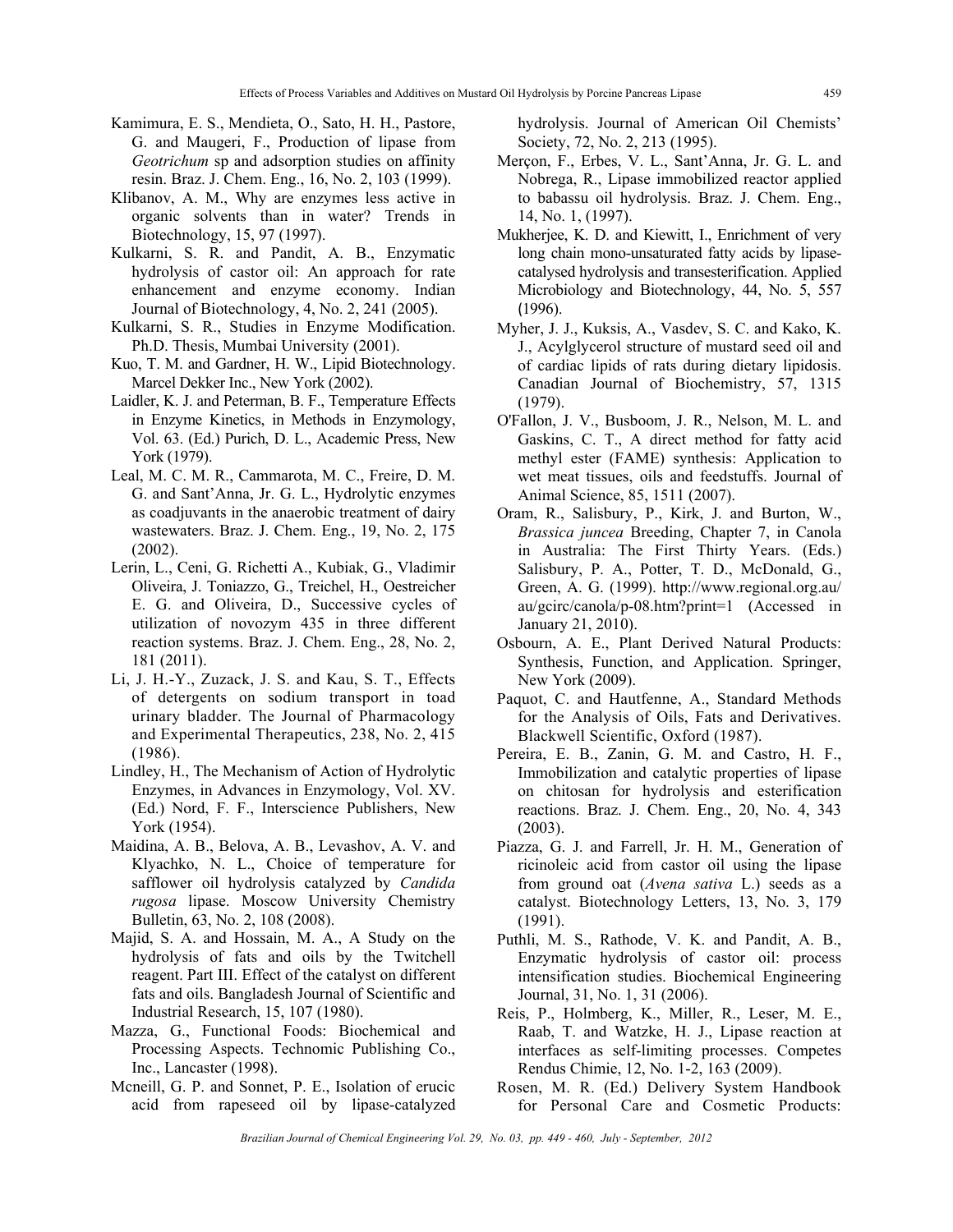- Kamimura, E. S., Mendieta, O., Sato, H. H., Pastore, G. and Maugeri, F., Production of lipase from *Geotrichum* sp and adsorption studies on affinity resin. Braz. J. Chem. Eng., 16, No. 2, 103 (1999).
- Klibanov, A. M., Why are enzymes less active in organic solvents than in water? Trends in Biotechnology, 15, 97 (1997).
- Kulkarni, S. R. and Pandit, A. B., Enzymatic hydrolysis of castor oil: An approach for rate enhancement and enzyme economy. Indian Journal of Biotechnology, 4, No. 2, 241 (2005).
- Kulkarni, S. R., Studies in Enzyme Modification. Ph.D. Thesis, Mumbai University (2001).
- Kuo, T. M. and Gardner, H. W., Lipid Biotechnology. Marcel Dekker Inc., New York (2002).
- Laidler, K. J. and Peterman, B. F., Temperature Effects in Enzyme Kinetics, in Methods in Enzymology, Vol. 63. (Ed.) Purich, D. L., Academic Press, New York (1979).
- Leal, M. C. M. R., Cammarota, M. C., Freire, D. M. G. and Sant'Anna, Jr. G. L., Hydrolytic enzymes as coadjuvants in the anaerobic treatment of dairy wastewaters. Braz. J. Chem. Eng., 19, No. 2, 175 (2002).
- Lerin, L., Ceni, G. Richetti A., Kubiak, G., Vladimir Oliveira, J. Toniazzo, G., Treichel, H., Oestreicher E. G. and Oliveira, D., Successive cycles of utilization of novozym 435 in three different reaction systems. Braz. J. Chem. Eng., 28, No. 2, 181 (2011).
- Li, J. H.-Y., Zuzack, J. S. and Kau, S. T., Effects of detergents on sodium transport in toad urinary bladder. The Journal of Pharmacology and Experimental Therapeutics, 238, No. 2, 415 (1986).
- Lindley, H., The Mechanism of Action of Hydrolytic Enzymes, in Advances in Enzymology, Vol. XV. (Ed.) Nord, F. F., Interscience Publishers, New York (1954).
- Maidina, A. B., Belova, A. B., Levashov, A. V. and Klyachko, N. L., Choice of temperature for safflower oil hydrolysis catalyzed by *Candida rugosa* lipase. Moscow University Chemistry Bulletin, 63, No. 2, 108 (2008).
- Majid, S. A. and Hossain, M. A., A Study on the hydrolysis of fats and oils by the Twitchell reagent. Part III. Effect of the catalyst on different fats and oils. Bangladesh Journal of Scientific and Industrial Research, 15, 107 (1980).
- Mazza, G., Functional Foods: Biochemical and Processing Aspects. Technomic Publishing Co., Inc., Lancaster (1998).
- Mcneill, G. P. and Sonnet, P. E., Isolation of erucic acid from rapeseed oil by lipase-catalyzed

hydrolysis. Journal of American Oil Chemists' Society, 72, No. 2, 213 (1995).

- Merçon, F., Erbes, V. L., Sant'Anna, Jr. G. L. and Nobrega, R., Lipase immobilized reactor applied to babassu oil hydrolysis. Braz. J. Chem. Eng., 14, No. 1, (1997).
- Mukherjee, K. D. and Kiewitt, I., Enrichment of very long chain mono-unsaturated fatty acids by lipasecatalysed hydrolysis and transesterification. Applied Microbiology and Biotechnology, 44, No. 5, 557 (1996).
- Myher, J. J., Kuksis, A., Vasdev, S. C. and Kako, K. J., Acylglycerol structure of mustard seed oil and of cardiac lipids of rats during dietary lipidosis. Canadian Journal of Biochemistry, 57, 1315 (1979).
- O'Fallon, J. V., Busboom, J. R., Nelson, M. L. and Gaskins, C. T., A direct method for fatty acid methyl ester (FAME) synthesis: Application to wet meat tissues, oils and feedstuffs. Journal of Animal Science, 85, 1511 (2007).
- Oram, R., Salisbury, P., Kirk, J. and Burton, W., *Brassica juncea* Breeding, Chapter 7, in Canola in Australia: The First Thirty Years. (Eds.) Salisbury, P. A., Potter, T. D., McDonald, G., Green, A. G. (1999). http://www.regional.org.au/ au/gcirc/canola/p-08.htm?print=1 (Accessed in January 21, 2010).
- Osbourn, A. E., Plant Derived Natural Products: Synthesis, Function, and Application. Springer, New York (2009).
- Paquot, C. and Hautfenne, A., Standard Methods for the Analysis of Oils, Fats and Derivatives. Blackwell Scientific, Oxford (1987).
- Pereira, E. B., Zanin, G. M. and Castro, H. F., Immobilization and catalytic properties of lipase on chitosan for hydrolysis and esterification reactions. Braz. J. Chem. Eng., 20, No. 4, 343 (2003).
- Piazza, G. J. and Farrell, Jr. H. M., Generation of ricinoleic acid from castor oil using the lipase from ground oat (*Avena sativa* L.) seeds as a catalyst. Biotechnology Letters, 13, No. 3, 179 (1991).
- Puthli, M. S., Rathode, V. K. and Pandit, A. B., Enzymatic hydrolysis of castor oil: process intensification studies. Biochemical Engineering Journal, 31, No. 1, 31 (2006).
- Reis, P., Holmberg, K., Miller, R., Leser, M. E., Raab, T. and Watzke, H. J., Lipase reaction at interfaces as self-limiting processes. Competes Rendus Chimie, 12, No. 1-2, 163 (2009).
- Rosen, M. R. (Ed.) Delivery System Handbook for Personal Care and Cosmetic Products: